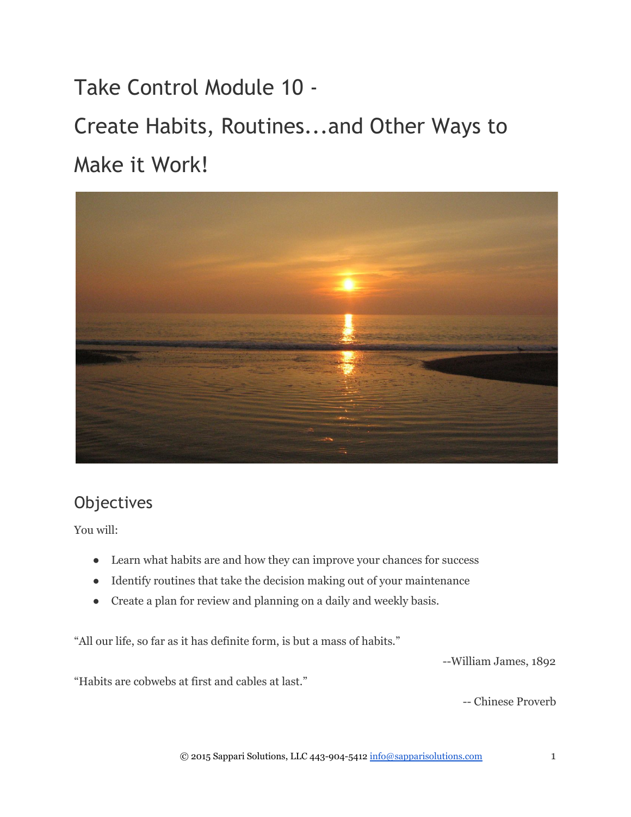Take Control Module 10 ‐ Create Habits, Routines...and Other Ways to Make it Work!



# **Objectives**

You will:

- Learn what habits are and how they can improve your chances for success
- Identify routines that take the decision making out of your maintenance
- Create a plan for review and planning on a daily and weekly basis.

"All our life, so far as it has definite form, is but a mass of habits."

William James, 1892

"Habits are cobwebs at first and cables at last."

Chinese Proverb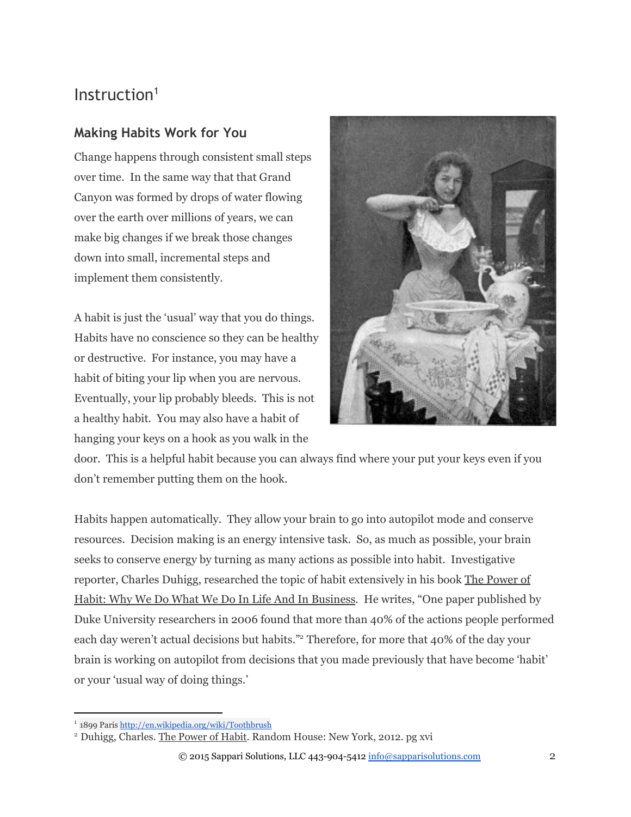## Instruction<sup>1</sup>

### **Making Habits Work for You**

Change happens through consistent small steps over time. In the same way that that Grand Canyon was formed by drops of water flowing over the earth over millions of years, we can make big changes if we break those changes down into small, incremental steps and implement them consistently.

A habit is just the 'usual' way that you do things. Habits have no conscience so they can be healthy or destructive. For instance, you may have a habit of biting your lip when you are nervous. Eventually, your lip probably bleeds. This is not a healthy habit. You may also have a habit of hanging your keys on a hook as you walk in the



door. This is a helpful habit because you can always find where your put your keys even if you don't remember putting them on the hook.

Habits happen automatically. They allow your brain to go into autopilot mode and conserve resources. Decision making is an energy intensive task. So, as much as possible, your brain seeks to conserve energy by turning as many actions as possible into habit. Investigative reporter, Charles Duhigg, researched the topic of habit extensively in his book The Power of Habit: Why We Do What We Do In Life And In Business. He writes, "One paper published by Duke University researchers in 2006 found that more than 40% of the actions people performed each day weren't actual decisions but habits."<sup>2</sup> Therefore, for more that 40% of the day your brain is working on autopilot from decisions that you made previously that have become 'habit' or your 'usual way of doing things.'

<sup>&</sup>lt;sup>1</sup> 1899 Paris<http://en.wikipedia.org/wiki/Toothbrush>

<sup>&</sup>lt;sup>2</sup> Duhigg, Charles. The Power of Habit. Random House: New York, 2012. pg xvi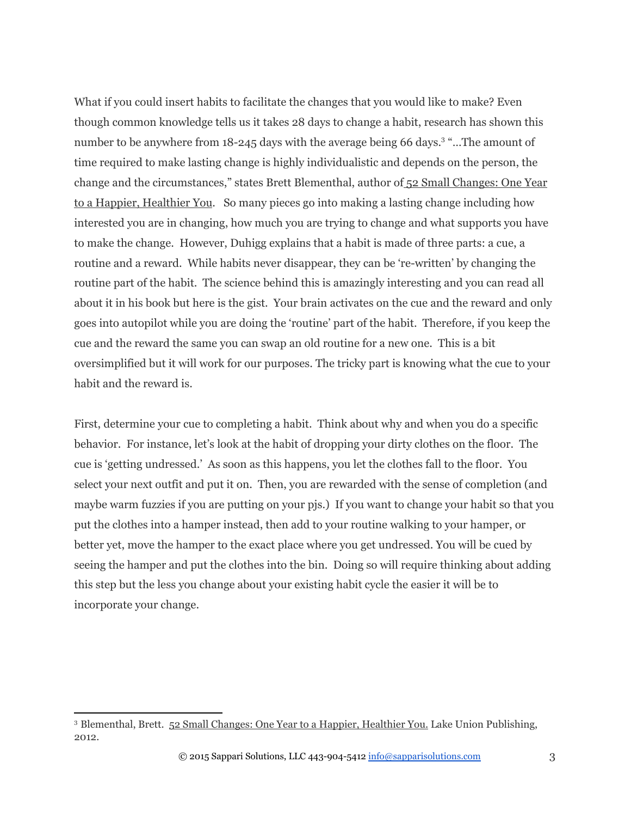What if you could insert habits to facilitate the changes that you would like to make? Even though common knowledge tells us it takes 28 days to change a habit, research has shown this number to be anywhere from 18-245 days with the average being 66 days.<sup>3</sup> "...The amount of time required to make lasting change is highly individualistic and depends on the person, the change and the circumstances," states Brett Blementhal, author of 52 Small Changes: One Year to a Happier, Healthier You. So many pieces go into making a lasting change including how interested you are in changing, how much you are trying to change and what supports you have to make the change. However, Duhigg explains that a habit is made of three parts: a cue, a routine and a reward. While habits never disappear, they can be 're-written' by changing the routine part of the habit. The science behind this is amazingly interesting and you can read all about it in his book but here is the gist. Your brain activates on the cue and the reward and only goes into autopilot while you are doing the 'routine' part of the habit. Therefore, if you keep the cue and the reward the same you can swap an old routine for a new one. This is a bit oversimplified but it will work for our purposes. The tricky part is knowing what the cue to your habit and the reward is.

First, determine your cue to completing a habit. Think about why and when you do a specific behavior. For instance, let's look at the habit of dropping your dirty clothes on the floor. The cue is 'getting undressed.' As soon as this happens, you let the clothes fall to the floor. You select your next outfit and put it on. Then, you are rewarded with the sense of completion (and maybe warm fuzzies if you are putting on your pjs.) If you want to change your habit so that you put the clothes into a hamper instead, then add to your routine walking to your hamper, or better yet, move the hamper to the exact place where you get undressed. You will be cued by seeing the hamper and put the clothes into the bin. Doing so will require thinking about adding this step but the less you change about your existing habit cycle the easier it will be to incorporate your change.

<sup>&</sup>lt;sup>3</sup> Blementhal, Brett. 52 Small Changes: One Year to a Happier, Healthier You. Lake Union Publishing, 2012.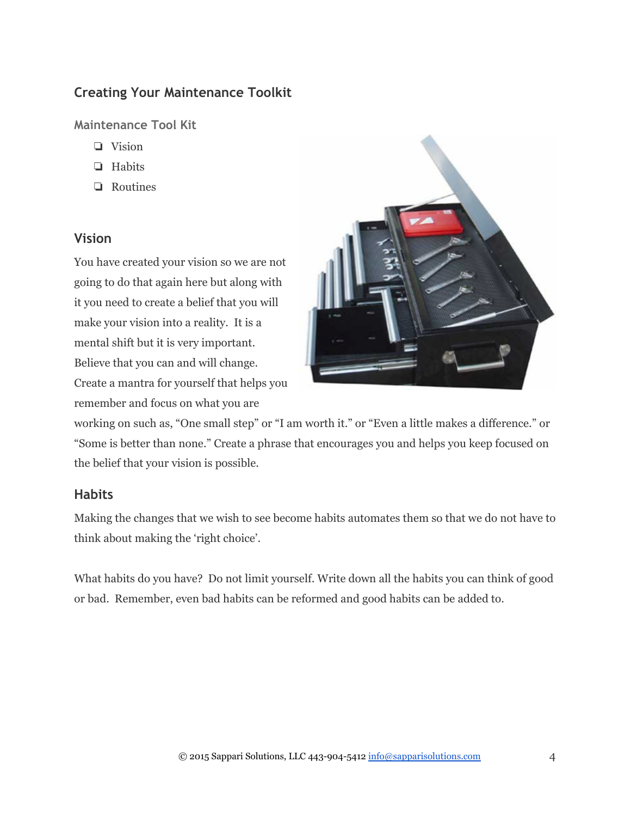## **Creating Your Maintenance Toolkit**

**Maintenance Tool Kit**

- ❏ Vision
- ❏ Habits
- ❏ Routines

### **Vision**

You have created your vision so we are not going to do that again here but along with it you need to create a belief that you will make your vision into a reality. It is a mental shift but it is very important. Believe that you can and will change. Create a mantra for yourself that helps you remember and focus on what you are



working on such as, "One small step" or "I am worth it." or "Even a little makes a difference." or "Some is better than none." Create a phrase that encourages you and helps you keep focused on the belief that your vision is possible.

#### **Habits**

Making the changes that we wish to see become habits automates them so that we do not have to think about making the 'right choice'.

What habits do you have? Do not limit yourself. Write down all the habits you can think of good or bad. Remember, even bad habits can be reformed and good habits can be added to.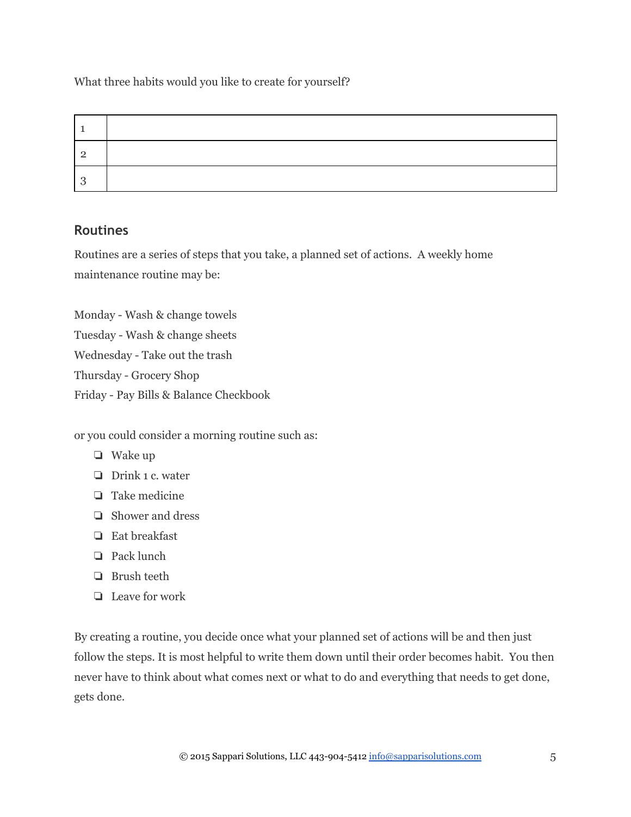What three habits would you like to create for yourself?

| ാ  |  |
|----|--|
| ړ. |  |

### **Routines**

Routines are a series of steps that you take, a planned set of actions. A weekly home maintenance routine may be:

Monday - Wash & change towels Tuesday - Wash & change sheets Wednesday - Take out the trash Thursday - Grocery Shop Friday - Pay Bills & Balance Checkbook

or you could consider a morning routine such as:

- ❏ Wake up
- ❏ Drink 1 c. water
- ❏ Take medicine
- ❏ Shower and dress
- ❏ Eat breakfast
- ❏ Pack lunch
- ❏ Brush teeth
- ❏ Leave for work

By creating a routine, you decide once what your planned set of actions will be and then just follow the steps. It is most helpful to write them down until their order becomes habit. You then never have to think about what comes next or what to do and everything that needs to get done, gets done.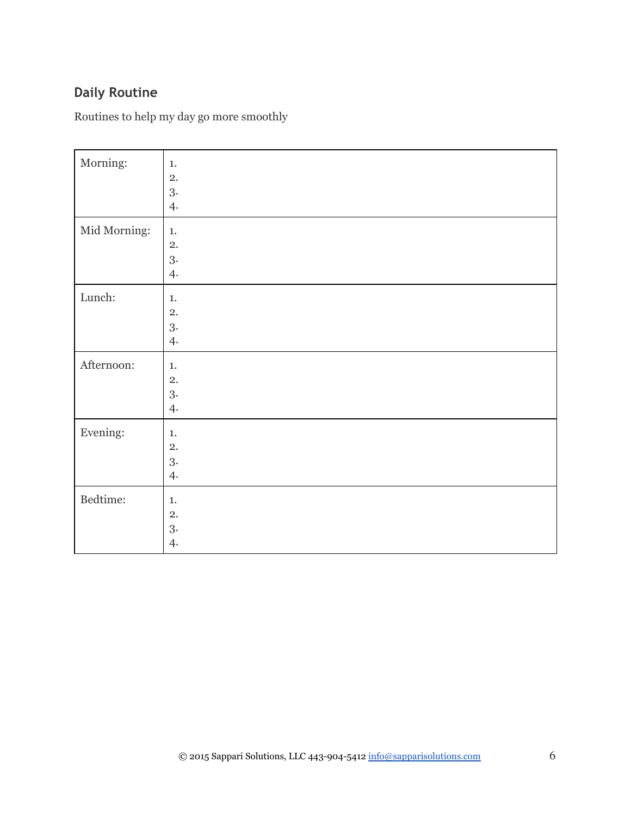## **Daily Routine**

Routines to help my day go more smoothly

| Morning:     | $1.$<br>2.<br>3.<br>4. |
|--------------|------------------------|
| Mid Morning: | $1.$<br>2.<br>3.<br>4. |
| Lunch:       | $1.$<br>2.<br>3.<br>4. |
| Afternoon:   | $1.$<br>2.<br>3.<br>4. |
| Evening:     | $1.$<br>2.<br>3.<br>4. |
| Bedtime:     | $1.$<br>2.<br>3.<br>4. |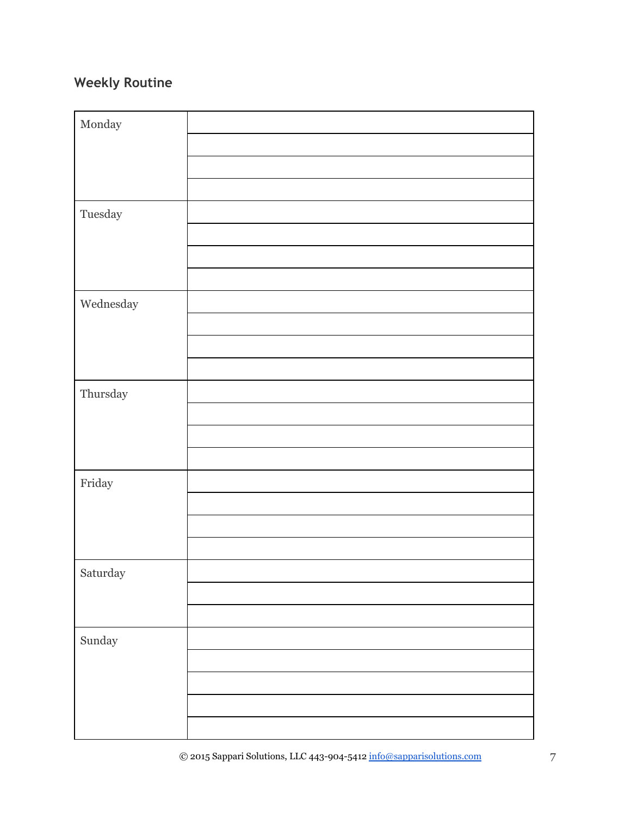## **Weekly Routine**

| $\operatorname{Monday}$                                                                                   |  |
|-----------------------------------------------------------------------------------------------------------|--|
|                                                                                                           |  |
|                                                                                                           |  |
|                                                                                                           |  |
| $\label{p:2} \text{Tuesday}$                                                                              |  |
|                                                                                                           |  |
|                                                                                                           |  |
|                                                                                                           |  |
| $\label{thm:weak} We dnesday$                                                                             |  |
|                                                                                                           |  |
|                                                                                                           |  |
|                                                                                                           |  |
| Thursday                                                                                                  |  |
|                                                                                                           |  |
|                                                                                                           |  |
|                                                                                                           |  |
| $\operatorname{Friday}$                                                                                   |  |
|                                                                                                           |  |
|                                                                                                           |  |
|                                                                                                           |  |
| Saturday                                                                                                  |  |
|                                                                                                           |  |
|                                                                                                           |  |
| $\operatorname*{Sunday}% \nolimits_{\mathbb{Z}}\left( \mathbb{Z}^{\Sigma\left( 1\right) }\right) ^{\ast}$ |  |
|                                                                                                           |  |
|                                                                                                           |  |
|                                                                                                           |  |
|                                                                                                           |  |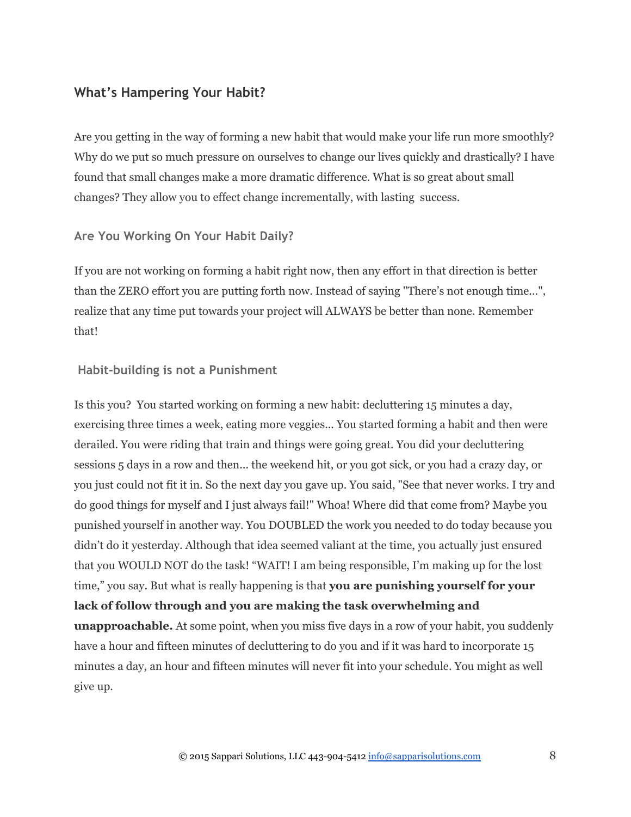#### **What's Hampering Your Habit?**

Are you getting in the way of forming a new habit that would make your life run more smoothly? Why do we put so much pressure on ourselves to change our lives quickly and drastically? I have found that small changes make a more dramatic difference. What is so great about small changes? They allow you to effect change incrementally, with lasting success.

#### **Are You Working On Your Habit Daily?**

If you are not working on forming a habit right now, then any effort in that direction is better than the ZERO effort you are putting forth now. Instead of saying "There's not enough time...", realize that any time put towards your project will ALWAYS be better than none. Remember that!

#### **Habit‐building is not a Punishment**

Is this you? You started working on forming a new habit: decluttering 15 minutes a day, exercising three times a week, eating more veggies... You started forming a habit and then were derailed. You were riding that train and things were going great. You did your decluttering sessions 5 days in a row and then... the weekend hit, or you got sick, or you had a crazy day, or you just could not fit it in. So the next day you gave up. You said, "See that never works. I try and do good things for myself and I just always fail!" Whoa! Where did that come from? Maybe you punished yourself in another way. You DOUBLED the work you needed to do today because you didn't do it yesterday. Although that idea seemed valiant at the time, you actually just ensured that you WOULD NOT do the task! "WAIT! I am being responsible, I'm making up for the lost time," you say. But what is really happening is that **you are punishing yourself for your lack of follow through and you are making the task overwhelming and unapproachable.** At some point, when you miss five days in a row of your habit, you suddenly have a hour and fifteen minutes of decluttering to do you and if it was hard to incorporate 15 minutes a day, an hour and fifteen minutes will never fit into your schedule. You might as well give up.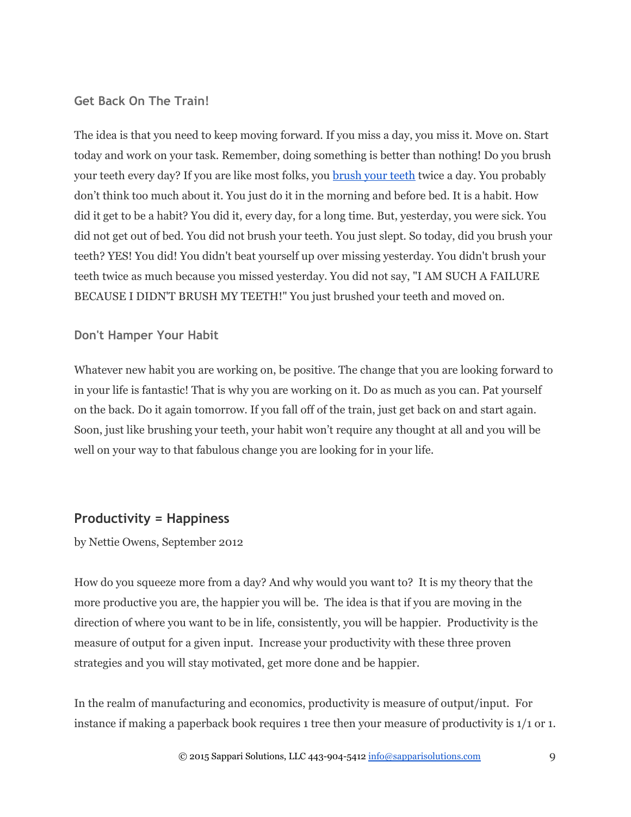#### **Get Back On The Train!**

The idea is that you need to keep moving forward. If you miss a day, you miss it. Move on. Start today and work on your task. Remember, doing something is better than nothing! Do you brush your teeth every day? If you are like most folks, you [brush your teeth](http://en.wikipedia.org/wiki/Toothbrush) twice a day. You probably don't think too much about it. You just do it in the morning and before bed. It is a habit. How did it get to be a habit? You did it, every day, for a long time. But, yesterday, you were sick. You did not get out of bed. You did not brush your teeth. You just slept. So today, did you brush your teeth? YES! You did! You didn't beat yourself up over missing yesterday. You didn't brush your teeth twice as much because you missed yesterday. You did not say, "I AM SUCH A FAILURE BECAUSE I DIDN'T BRUSH MY TEETH!" You just brushed your teeth and moved on.

#### **Don't Hamper Your Habit**

Whatever new habit you are working on, be positive. The change that you are looking forward to in your life is fantastic! That is why you are working on it. Do as much as you can. Pat yourself on the back. Do it again tomorrow. If you fall off of the train, just get back on and start again. Soon, just like brushing your teeth, your habit won't require any thought at all and you will be well on your way to that fabulous change you are looking for in your life.

#### **Productivity = Happiness**

by Nettie Owens, September 2012

How do you squeeze more from a day? And why would you want to? It is my theory that the more productive you are, the happier you will be. The idea is that if you are moving in the direction of where you want to be in life, consistently, you will be happier. Productivity is the measure of output for a given input. Increase your productivity with these three proven strategies and you will stay motivated, get more done and be happier.

In the realm of manufacturing and economics, productivity is measure of output/input. For instance if making a paperback book requires 1 tree then your measure of productivity is 1/1 or 1.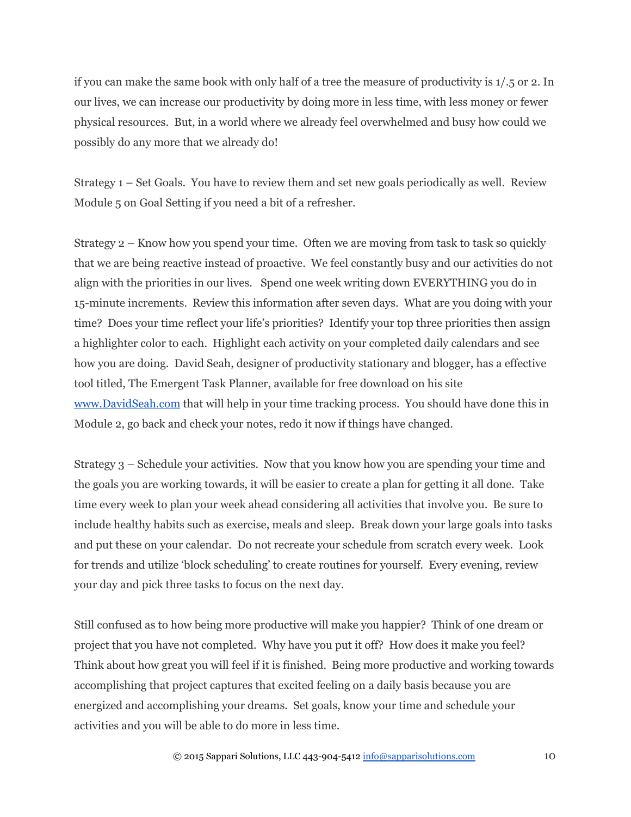if you can make the same book with only half of a tree the measure of productivity is 1/.5 or 2. In our lives, we can increase our productivity by doing more in less time, with less money or fewer physical resources. But, in a world where we already feel overwhelmed and busy how could we possibly do any more that we already do!

Strategy 1 – Set Goals. You have to review them and set new goals periodically as well. Review Module 5 on Goal Setting if you need a bit of a refresher.

Strategy 2 – Know how you spend your time. Often we are moving from task to task so quickly that we are being reactive instead of proactive. We feel constantly busy and our activities do not align with the priorities in our lives. Spend one week writing down EVERYTHING you do in 15-minute increments. Review this information after seven days. What are you doing with your time? Does your time reflect your life's priorities? Identify your top three priorities then assign a highlighter color to each. Highlight each activity on your completed daily calendars and see how you are doing. David Seah, designer of productivity stationary and blogger, has a effective tool titled, The Emergent Task Planner, available for free download on his sit[e](http://www.davidseah.com/) [www.DavidSeah.com](http://www.davidseah.com/) that will help in your time tracking process. You should have done this in Module 2, go back and check your notes, redo it now if things have changed.

Strategy 3 – Schedule your activities. Now that you know how you are spending your time and the goals you are working towards, it will be easier to create a plan for getting it all done. Take time every week to plan your week ahead considering all activities that involve you. Be sure to include healthy habits such as exercise, meals and sleep. Break down your large goals into tasks and put these on your calendar. Do not recreate your schedule from scratch every week. Look for trends and utilize 'block scheduling' to create routines for yourself. Every evening, review your day and pick three tasks to focus on the next day.

Still confused as to how being more productive will make you happier? Think of one dream or project that you have not completed. Why have you put it off? How does it make you feel? Think about how great you will feel if it is finished. Being more productive and working towards accomplishing that project captures that excited feeling on a daily basis because you are energized and accomplishing your dreams. Set goals, know your time and schedule your activities and you will be able to do more in less time.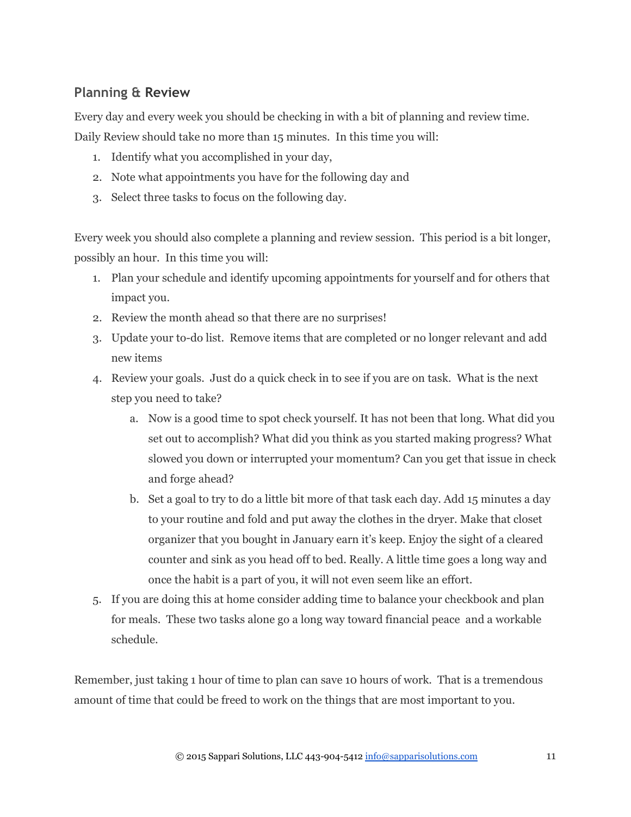## **Planning & Review**

Every day and every week you should be checking in with a bit of planning and review time. Daily Review should take no more than 15 minutes. In this time you will:

- 1. Identify what you accomplished in your day,
- 2. Note what appointments you have for the following day and
- 3. Select three tasks to focus on the following day.

Every week you should also complete a planning and review session. This period is a bit longer, possibly an hour. In this time you will:

- 1. Plan your schedule and identify upcoming appointments for yourself and for others that impact you.
- 2. Review the month ahead so that there are no surprises!
- 3. Update your to-do list. Remove items that are completed or no longer relevant and add new items
- 4. Review your goals. Just do a quick check in to see if you are on task. What is the next step you need to take?
	- a. Now is a good time to spot check yourself. It has not been that long. What did you set out to accomplish? What did you think as you started making progress? What slowed you down or interrupted your momentum? Can you get that issue in check and forge ahead?
	- b. Set a goal to try to do a little bit more of that task each day. Add 15 minutes a day to your routine and fold and put away the clothes in the dryer. Make that closet organizer that you bought in January earn it's keep. Enjoy the sight of a cleared counter and sink as you head off to bed. Really. A little time goes a long way and once the habit is a part of you, it will not even seem like an effort.
- 5. If you are doing this at home consider adding time to balance your checkbook and plan for meals. These two tasks alone go a long way toward financial peace and a workable schedule.

Remember, just taking 1 hour of time to plan can save 10 hours of work. That is a tremendous amount of time that could be freed to work on the things that are most important to you.